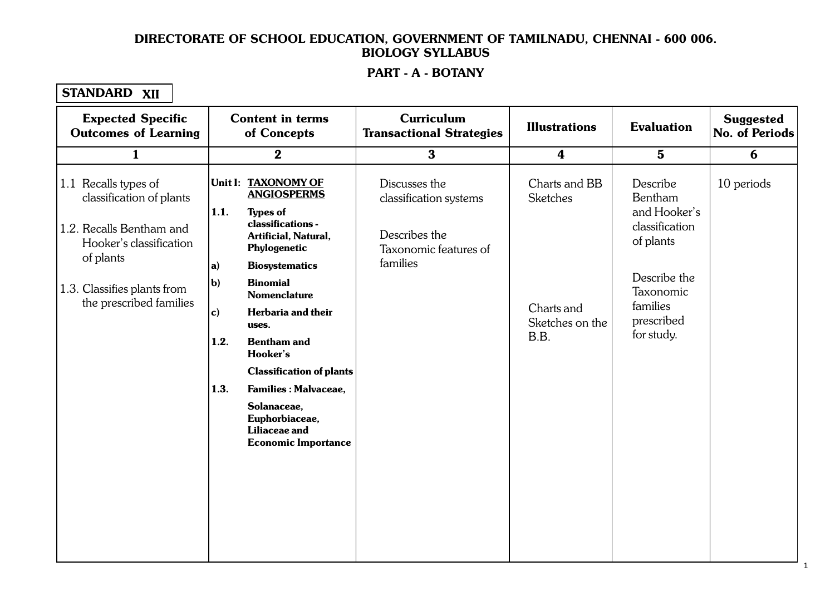#### PART - A - BOTANY 1.1. Cellular Level Organisation of the Contract of the Contract of the Contract of the Contract of the Contract of

## STANDARD XII

| <b>Expected Specific</b><br><b>Outcomes of Learning</b>                                                                                                                        | <b>Content in terms</b><br>of Concepts                                                                                                                                                                                                                                           | Curriculum<br><b>Transactional Strategies</b>                                                 | <b>Illustrations</b>                                              | <b>Evaluation</b>                                                                                                                       | <b>Suggested</b><br><b>No. of Periods</b> |
|--------------------------------------------------------------------------------------------------------------------------------------------------------------------------------|----------------------------------------------------------------------------------------------------------------------------------------------------------------------------------------------------------------------------------------------------------------------------------|-----------------------------------------------------------------------------------------------|-------------------------------------------------------------------|-----------------------------------------------------------------------------------------------------------------------------------------|-------------------------------------------|
| $\mathbf{1}$                                                                                                                                                                   | $\bf{2}$                                                                                                                                                                                                                                                                         | $\mathbf{3}$                                                                                  | $\boldsymbol{4}$                                                  | $5\phantom{.}$                                                                                                                          | 6                                         |
| 1.1 Recalls types of<br>classification of plants<br>1.2. Recalls Bentham and<br>Hooker's classification<br>of plants<br>1.3. Classifies plants from<br>the prescribed families | Unit I: TAXONOMY OF<br><b>ANGIOSPERMS</b><br>1.1.<br><b>Types of</b><br>classifications -<br>Artificial, Natural,<br>Phylogenetic<br><b>Biosystematics</b><br>$ a\rangle$<br>$\mathbf{b}$<br><b>Binomial</b><br><b>Nomenclature</b><br>Herbaria and their<br>$\vert c)$<br>uses. | Discusses the<br>classification systems<br>Describes the<br>Taxonomic features of<br>families | Charts and BB<br><b>Sketches</b><br>Charts and<br>Sketches on the | Describe<br>Bentham<br>and Hooker's<br>classification<br>of plants<br>Describe the<br>Taxonomic<br>families<br>prescribed<br>for study. | 10 periods                                |
|                                                                                                                                                                                | 1.2.<br><b>Bentham and</b><br>Hooker's                                                                                                                                                                                                                                           |                                                                                               | B.B.                                                              |                                                                                                                                         |                                           |
|                                                                                                                                                                                | <b>Classification of plants</b><br>1.3.<br><b>Families: Malvaceae,</b><br>Solanaceae,<br>Euphorbiaceae,<br>Liliaceae and<br><b>Economic Importance</b>                                                                                                                           |                                                                                               |                                                                   |                                                                                                                                         |                                           |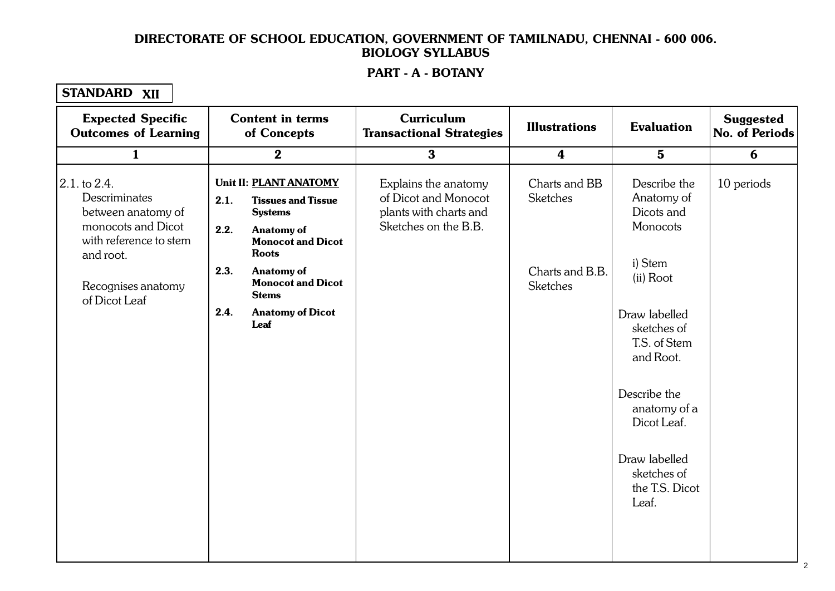#### PART - A - BOTANY 1.1. Cellular Level Organisation of the Contract of the Contract of the Contract of the Contract of the Contract of

## STANDARD XII

| $\bf{3}$<br>$\boldsymbol{2}$<br>$\boldsymbol{4}$<br>$5\phantom{1}$<br>$\mathbf{1}$<br>2.1. to 2.4.<br>Unit II: PLANT ANATOMY<br>Describe the<br>Explains the anatomy<br>Charts and BB<br>of Dicot and Monocot<br>Descriminates<br><b>Sketches</b><br>Anatomy of<br>2.1.<br><b>Tissues and Tissue</b><br>Dicots and<br>between anatomy of<br>plants with charts and<br><b>Systems</b><br>monocots and Dicot<br>Sketches on the B.B.<br>Monocots<br>2.2.<br><b>Anatomy of</b><br>with reference to stem<br><b>Monocot and Dicot</b><br><b>Roots</b><br>and root.<br>i) Stem<br>2.3.<br><b>Anatomy of</b><br>Charts and B.B.<br>(ii) Root<br><b>Monocot and Dicot</b><br><b>Sketches</b><br>Recognises anatomy<br><b>Stems</b><br>of Dicot Leaf<br>2.4.<br><b>Anatomy of Dicot</b><br>Draw labelled<br>Leaf<br>sketches of<br>T.S. of Stem<br>and Root. | 6          |
|------------------------------------------------------------------------------------------------------------------------------------------------------------------------------------------------------------------------------------------------------------------------------------------------------------------------------------------------------------------------------------------------------------------------------------------------------------------------------------------------------------------------------------------------------------------------------------------------------------------------------------------------------------------------------------------------------------------------------------------------------------------------------------------------------------------------------------------------------|------------|
|                                                                                                                                                                                                                                                                                                                                                                                                                                                                                                                                                                                                                                                                                                                                                                                                                                                      |            |
|                                                                                                                                                                                                                                                                                                                                                                                                                                                                                                                                                                                                                                                                                                                                                                                                                                                      | 10 periods |
| Describe the<br>anatomy of a<br>Dicot Leaf.<br>Draw labelled<br>sketches of<br>the T.S. Dicot<br>Leaf.                                                                                                                                                                                                                                                                                                                                                                                                                                                                                                                                                                                                                                                                                                                                               |            |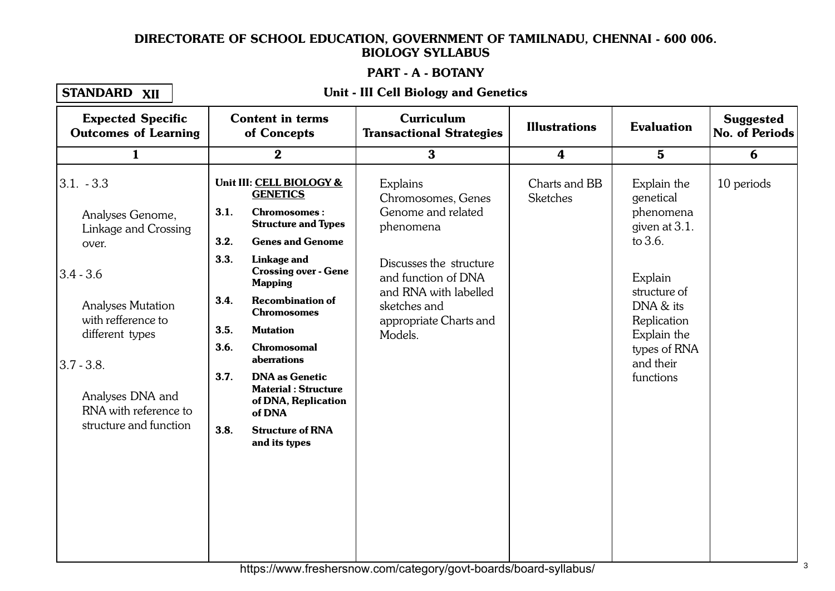# PART - A - BOTANY

# STANDARD XII

#### 1. 1. Cellular Level Organisation of the California Constitution of the California Constitution of the Califor<br>1. Cellular Level Organisation of the California Constitution of the California Constitution of the California Unit - III Cell Biology and Genetics

| <b>Content in terms</b><br>of Concepts                                                                                                                                                                                                                                                                                                                                                                                                                                                                   | <b>Curriculum</b><br><b>Transactional Strategies</b>                                                                                                                                              | <b>Illustrations</b>             | <b>Evaluation</b>                                                                                                                                                                    | <b>Suggested</b><br>No. of Periods |
|----------------------------------------------------------------------------------------------------------------------------------------------------------------------------------------------------------------------------------------------------------------------------------------------------------------------------------------------------------------------------------------------------------------------------------------------------------------------------------------------------------|---------------------------------------------------------------------------------------------------------------------------------------------------------------------------------------------------|----------------------------------|--------------------------------------------------------------------------------------------------------------------------------------------------------------------------------------|------------------------------------|
| $\bf{2}$                                                                                                                                                                                                                                                                                                                                                                                                                                                                                                 | $\bf{3}$                                                                                                                                                                                          | $\boldsymbol{4}$                 | $5\phantom{.0}$                                                                                                                                                                      | 6                                  |
| Unit III: CELL BIOLOGY &<br><b>GENETICS</b><br>3.1.<br><b>Chromosomes:</b><br><b>Structure and Types</b><br>3.2.<br><b>Genes and Genome</b><br>3.3.<br>Linkage and<br><b>Crossing over - Gene</b><br><b>Mapping</b><br>3.4.<br><b>Recombination of</b><br><b>Chromosomes</b><br>3.5.<br><b>Mutation</b><br>3.6.<br><b>Chromosomal</b><br>aberrations<br>3.7.<br><b>DNA</b> as Genetic<br><b>Material: Structure</b><br>of DNA, Replication<br>of DNA<br>3.8.<br><b>Structure of RNA</b><br>and its types | Explains<br>Chromosomes, Genes<br>Genome and related<br>phenomena<br>Discusses the structure<br>and function of DNA<br>and RNA with labelled<br>sketches and<br>appropriate Charts and<br>Models. | Charts and BB<br><b>Sketches</b> | Explain the<br>genetical<br>phenomena<br>given at 3.1.<br>to $3.6$ .<br>Explain<br>structure of<br>DNA & its<br>Replication<br>Explain the<br>types of RNA<br>and their<br>functions | 10 periods                         |
|                                                                                                                                                                                                                                                                                                                                                                                                                                                                                                          |                                                                                                                                                                                                   |                                  |                                                                                                                                                                                      |                                    |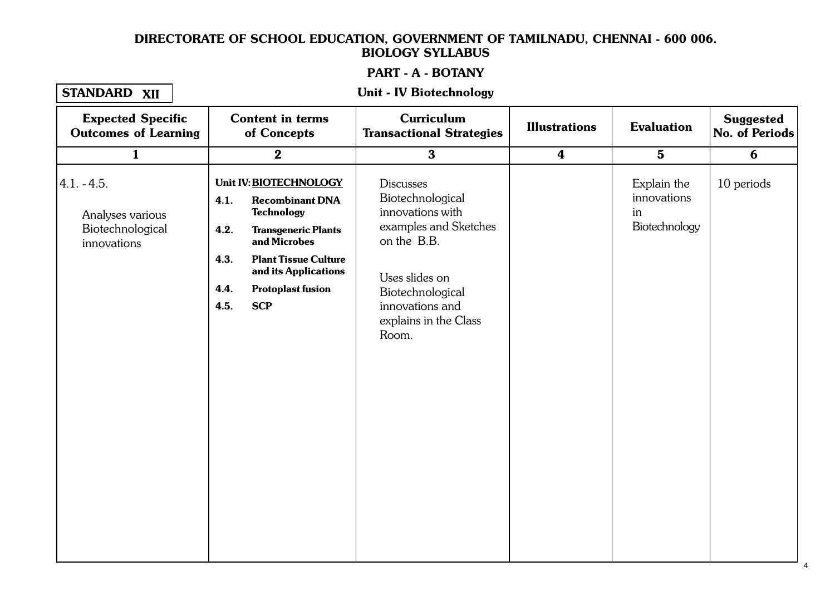#### PART - A - BOTANY 1. 1. Cellular Level Organisation and the contract of the contract of the contract of the contract of the cont<br>1. Cellular Level Organisation and the contract of the contract of the contract of the contract of the contract

### STANDARD XII

#### Unit - IV Biotechnology

| <b>Expected Specific</b><br><b>Outcomes of Learning</b>              | <b>Content in terms</b><br>of Concepts                                                                                                                                                                                                                       | Curriculum<br><b>Transactional Strategies</b>                                                                                                                                               | <b>Illustrations</b> | <b>Evaluation</b>                                 | <b>Suggested</b><br>No. of Periods |
|----------------------------------------------------------------------|--------------------------------------------------------------------------------------------------------------------------------------------------------------------------------------------------------------------------------------------------------------|---------------------------------------------------------------------------------------------------------------------------------------------------------------------------------------------|----------------------|---------------------------------------------------|------------------------------------|
| $\mathbf{1}$                                                         | $\boldsymbol{2}$                                                                                                                                                                                                                                             | $\mathbf{3}$                                                                                                                                                                                | $\boldsymbol{4}$     | $5\phantom{1}$                                    | 6                                  |
| $4.1. - 4.5.$<br>Analyses various<br>Biotechnological<br>innovations | Unit IV: BIOTECHNOLOGY<br>4.1.<br><b>Recombinant DNA</b><br><b>Technology</b><br>4.2.<br><b>Transgeneric Plants</b><br>and Microbes<br><b>Plant Tissue Culture</b><br>4.3.<br>and its Applications<br>4.4.<br><b>Protoplast fusion</b><br>4.5.<br><b>SCP</b> | <b>Discusses</b><br>Biotechnological<br>innovations with<br>examples and Sketches<br>on the B.B.<br>Uses slides on<br>Biotechnological<br>innovations and<br>explains in the Class<br>Room. |                      | Explain the<br>innovations<br>in<br>Biotechnology | 10 periods                         |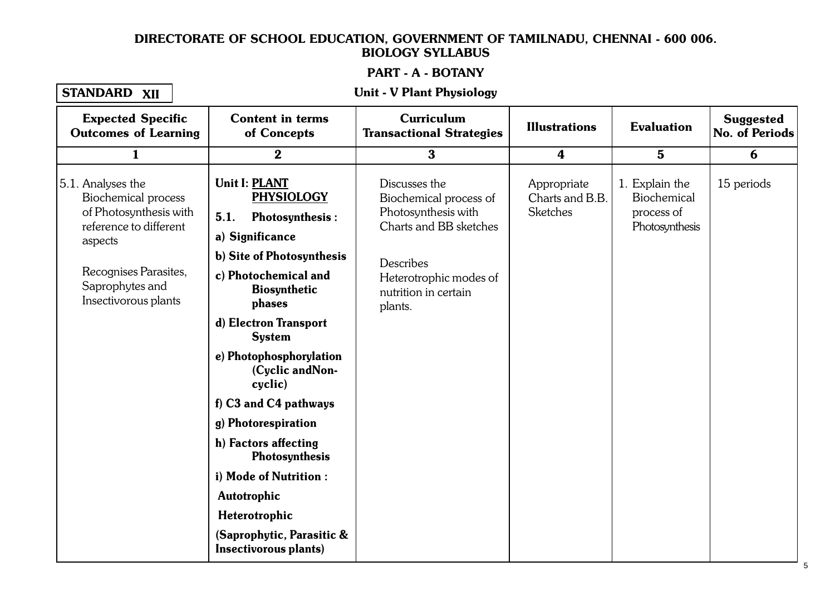#### PART - A - BOTANY 1. 1. Cellular Level Organisation of the Contract of the Contract of the Contract of the Contract of the Contr<br>1. Cellular Level Organisation of the Contract of the Contract of the Contract of the Contract of the Contract

### STANDARD XII

#### Unit - V Plant Physiology

| <b>Expected Specific</b><br><b>Outcomes of Learning</b>                                                        | <b>Content in terms</b><br>of Concepts                                                         | <b>Curriculum</b><br><b>Transactional Strategies</b>                                     | <b>Illustrations</b>                              | <b>Evaluation</b>                                             | <b>Suggested</b><br><b>No. of Periods</b> |
|----------------------------------------------------------------------------------------------------------------|------------------------------------------------------------------------------------------------|------------------------------------------------------------------------------------------|---------------------------------------------------|---------------------------------------------------------------|-------------------------------------------|
| $\mathbf{1}$                                                                                                   | $\bf{2}$                                                                                       | $\bf{3}$                                                                                 | $\boldsymbol{4}$                                  | $5\phantom{.}$                                                | 6                                         |
| 5.1. Analyses the<br><b>Biochemical process</b><br>of Photosynthesis with<br>reference to different<br>aspects | <b>Unit I: PLANT</b><br><b>PHYSIOLOGY</b><br><b>Photosynthesis:</b><br>5.1.<br>a) Significance | Discusses the<br>Biochemical process of<br>Photosynthesis with<br>Charts and BB sketches | Appropriate<br>Charts and B.B.<br><b>Sketches</b> | 1. Explain the<br>Biochemical<br>process of<br>Photosynthesis | 15 periods                                |
|                                                                                                                | b) Site of Photosynthesis                                                                      | Describes                                                                                |                                                   |                                                               |                                           |
| Recognises Parasites,<br>Saprophytes and<br>Insectivorous plants                                               | c) Photochemical and<br><b>Biosynthetic</b><br>phases                                          | Heterotrophic modes of<br>nutrition in certain<br>plants.                                |                                                   |                                                               |                                           |
|                                                                                                                | d) Electron Transport<br><b>System</b>                                                         |                                                                                          |                                                   |                                                               |                                           |
|                                                                                                                | e) Photophosphorylation<br>(Cyclic and Non-<br>cyclic)                                         |                                                                                          |                                                   |                                                               |                                           |
|                                                                                                                | f) C3 and C4 pathways                                                                          |                                                                                          |                                                   |                                                               |                                           |
|                                                                                                                | g) Photorespiration                                                                            |                                                                                          |                                                   |                                                               |                                           |
|                                                                                                                | h) Factors affecting<br><b>Photosynthesis</b>                                                  |                                                                                          |                                                   |                                                               |                                           |
|                                                                                                                | i) Mode of Nutrition :                                                                         |                                                                                          |                                                   |                                                               |                                           |
|                                                                                                                | Autotrophic                                                                                    |                                                                                          |                                                   |                                                               |                                           |
|                                                                                                                | Heterotrophic                                                                                  |                                                                                          |                                                   |                                                               |                                           |
|                                                                                                                | (Saprophytic, Parasitic &<br>Insectivorous plants)                                             |                                                                                          |                                                   |                                                               |                                           |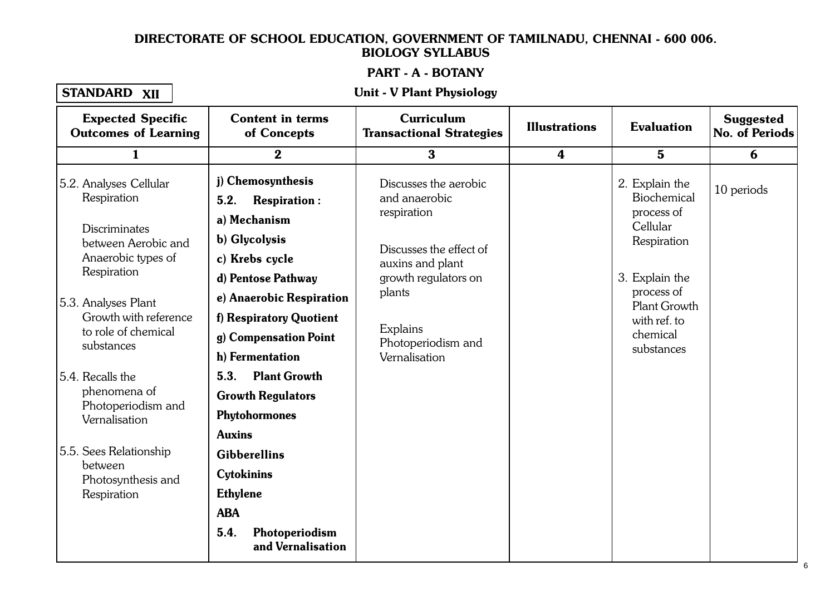#### PART - A - BOTANY 1. 1. Cellular Level Organisation of the Contract of the Contract of the Contract of the Contract of the Contr<br>1. Cellular Level Organisation of the Contract of the Contract of the Contract of the Contract of the Contract

# STANDARD XII

## XII Unit - V Plant Physiology

| <b>Expected Specific</b><br><b>Outcomes of Learning</b>                           | <b>Content in terms</b><br>of Concepts                                                                                   | Curriculum<br><b>Transactional Strategies</b>                                 | <b>Illustrations</b> | <b>Evaluation</b>                                                      | <b>Suggested</b><br>No. of Periods |
|-----------------------------------------------------------------------------------|--------------------------------------------------------------------------------------------------------------------------|-------------------------------------------------------------------------------|----------------------|------------------------------------------------------------------------|------------------------------------|
| $\mathbf{1}$                                                                      | $\mathbf{2}$                                                                                                             | $\overline{\mathbf{3}}$                                                       | $\boldsymbol{4}$     | $5\phantom{.}$                                                         | 6                                  |
| 5.2. Analyses Cellular<br>Respiration<br><b>Discriminates</b>                     | j) Chemosynthesis<br>5.2.<br><b>Respiration:</b><br>a) Mechanism<br>b) Glycolysis                                        | Discusses the aerobic<br>and anaerobic<br>respiration                         |                      | 2. Explain the<br>Biochemical<br>process of<br>Cellular<br>Respiration | 10 periods                         |
| between Aerobic and<br>Anaerobic types of<br>Respiration                          | c) Krebs cycle<br>d) Pentose Pathway                                                                                     | Discusses the effect of<br>auxins and plant<br>growth regulators on<br>plants |                      | 3. Explain the<br>process of                                           |                                    |
| 5.3. Analyses Plant<br>Growth with reference<br>to role of chemical<br>substances | e) Anaerobic Respiration<br>f) Respiratory Quotient<br>g) Compensation Point<br>h) Fermentation                          | Explains<br>Photoperiodism and<br>Vernalisation                               |                      | <b>Plant Growth</b><br>with ref. to<br>chemical<br>substances          |                                    |
| 5.4. Recalls the<br>phenomena of<br>Photoperiodism and<br>Vernalisation           | 5.3.<br><b>Plant Growth</b><br><b>Growth Regulators</b><br>Phytohormones<br><b>Auxins</b>                                |                                                                               |                      |                                                                        |                                    |
| 5.5. Sees Relationship<br>between<br>Photosynthesis and<br>Respiration            | <b>Gibberellins</b><br><b>Cytokinins</b><br><b>Ethylene</b><br><b>ABA</b><br>5.4.<br>Photoperiodism<br>and Vernalisation |                                                                               |                      |                                                                        |                                    |